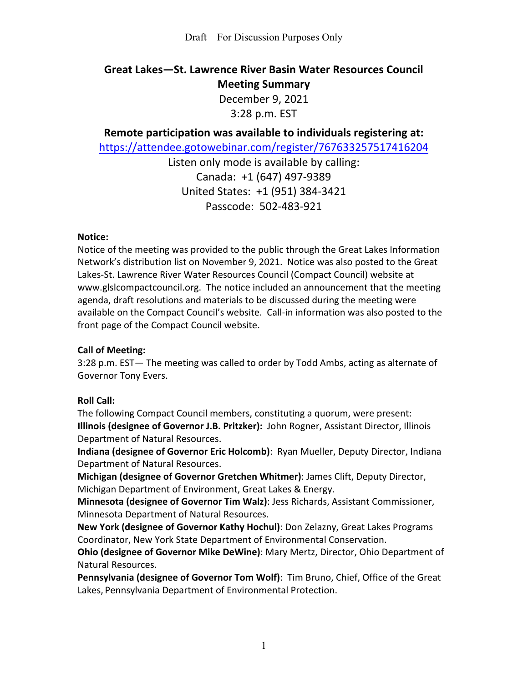# **Great Lakes—St. Lawrence River Basin Water Resources Council Meeting Summary** December 9, 2021

3:28 p.m. EST

**Remote participation was available to individuals registering at:** <https://attendee.gotowebinar.com/register/767633257517416204>

> Listen only mode is available by calling: Canada: +1 (647) 497-9389 United States: +1 (951) 384-3421 Passcode: 502-483-921

#### **Notice:**

Notice of the meeting was provided to the public through the Great Lakes Information Network's distribution list on November 9, 2021. Notice was also posted to the Great Lakes-St. Lawrence River Water Resources Council (Compact Council) website at www.glslcompactcouncil.org. The notice included an announcement that the meeting agenda, draft resolutions and materials to be discussed during the meeting were available on the Compact Council's website. Call-in information was also posted to the front page of the Compact Council website.

### **Call of Meeting:**

3:28 p.m. EST— The meeting was called to order by Todd Ambs, acting as alternate of Governor Tony Evers.

### **Roll Call:**

The following Compact Council members, constituting a quorum, were present: **Illinois (designee of Governor J.B. Pritzker):** John Rogner, Assistant Director, Illinois Department of Natural Resources.

**Indiana (designee of Governor Eric Holcomb)**: Ryan Mueller, Deputy Director, Indiana Department of Natural Resources.

**Michigan (designee of Governor Gretchen Whitmer)**: James Clift, Deputy Director, Michigan Department of Environment, Great Lakes & Energy.

**Minnesota (designee of Governor Tim Walz)**: Jess Richards, Assistant Commissioner, Minnesota Department of Natural Resources.

**New York (designee of Governor Kathy Hochul)**: Don Zelazny, Great Lakes Programs Coordinator, New York State Department of Environmental Conservation.

**Ohio (designee of Governor Mike DeWine)**: Mary Mertz, Director, Ohio Department of Natural Resources.

**Pennsylvania (designee of Governor Tom Wolf)**: Tim Bruno, Chief, Office of the Great Lakes, Pennsylvania Department of Environmental Protection.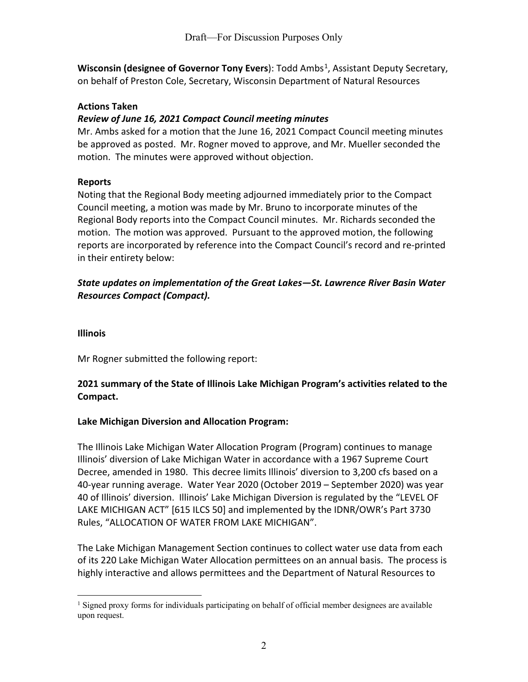Wisconsin (designee of Governor Tony Evers): Todd Ambs<sup>[1](#page-1-0)</sup>, Assistant Deputy Secretary, on behalf of Preston Cole, Secretary, Wisconsin Department of Natural Resources

### **Actions Taken**

## *Review of June 16, 2021 Compact Council meeting minutes*

Mr. Ambs asked for a motion that the June 16, 2021 Compact Council meeting minutes be approved as posted. Mr. Rogner moved to approve, and Mr. Mueller seconded the motion. The minutes were approved without objection.

## **Reports**

Noting that the Regional Body meeting adjourned immediately prior to the Compact Council meeting, a motion was made by Mr. Bruno to incorporate minutes of the Regional Body reports into the Compact Council minutes. Mr. Richards seconded the motion. The motion was approved. Pursuant to the approved motion, the following reports are incorporated by reference into the Compact Council's record and re-printed in their entirety below:

*State updates on implementation of the Great Lakes—St. Lawrence River Basin Water Resources Compact (Compact).*

### **Illinois**

Mr Rogner submitted the following report:

## **2021 summary of the State of Illinois Lake Michigan Program's activities related to the Compact.**

## **Lake Michigan Diversion and Allocation Program:**

The Illinois Lake Michigan Water Allocation Program (Program) continues to manage Illinois' diversion of Lake Michigan Water in accordance with a 1967 Supreme Court Decree, amended in 1980. This decree limits Illinois' diversion to 3,200 cfs based on a 40-year running average. Water Year 2020 (October 2019 – September 2020) was year 40 of Illinois' diversion. Illinois' Lake Michigan Diversion is regulated by the "LEVEL OF LAKE MICHIGAN ACT" [615 ILCS 50] and implemented by the IDNR/OWR's Part 3730 Rules, "ALLOCATION OF WATER FROM LAKE MICHIGAN".

The Lake Michigan Management Section continues to collect water use data from each of its 220 Lake Michigan Water Allocation permittees on an annual basis. The process is highly interactive and allows permittees and the Department of Natural Resources to

<span id="page-1-0"></span><sup>&</sup>lt;sup>1</sup> Signed proxy forms for individuals participating on behalf of official member designees are available upon request.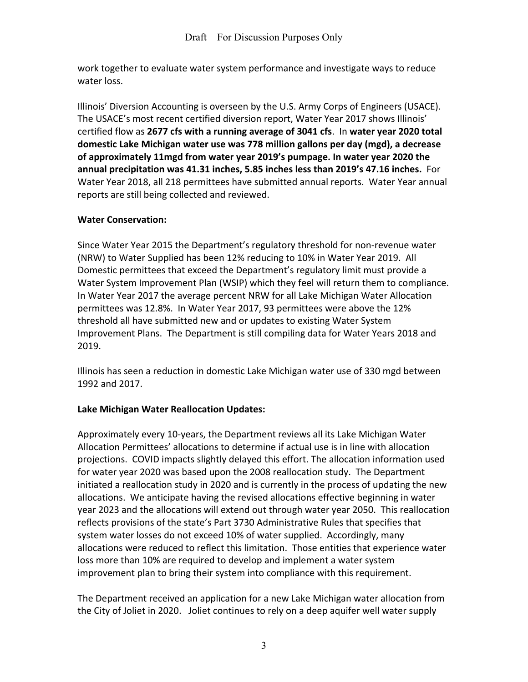work together to evaluate water system performance and investigate ways to reduce water loss.

Illinois' Diversion Accounting is overseen by the U.S. Army Corps of Engineers (USACE). The USACE's most recent certified diversion report, Water Year 2017 shows Illinois' certified flow as **2677 cfs with a running average of 3041 cfs**. In **water year 2020 total domestic Lake Michigan water use was 778 million gallons per day (mgd), a decrease of approximately 11mgd from water year 2019's pumpage. In water year 2020 the annual precipitation was 41.31 inches, 5.85 inches less than 2019's 47.16 inches.** For Water Year 2018, all 218 permittees have submitted annual reports. Water Year annual reports are still being collected and reviewed.

## **Water Conservation:**

Since Water Year 2015 the Department's regulatory threshold for non-revenue water (NRW) to Water Supplied has been 12% reducing to 10% in Water Year 2019. All Domestic permittees that exceed the Department's regulatory limit must provide a Water System Improvement Plan (WSIP) which they feel will return them to compliance. In Water Year 2017 the average percent NRW for all Lake Michigan Water Allocation permittees was 12.8%. In Water Year 2017, 93 permittees were above the 12% threshold all have submitted new and or updates to existing Water System Improvement Plans. The Department is still compiling data for Water Years 2018 and 2019.

Illinois has seen a reduction in domestic Lake Michigan water use of 330 mgd between 1992 and 2017.

## **Lake Michigan Water Reallocation Updates:**

Approximately every 10-years, the Department reviews all its Lake Michigan Water Allocation Permittees' allocations to determine if actual use is in line with allocation projections. COVID impacts slightly delayed this effort. The allocation information used for water year 2020 was based upon the 2008 reallocation study. The Department initiated a reallocation study in 2020 and is currently in the process of updating the new allocations. We anticipate having the revised allocations effective beginning in water year 2023 and the allocations will extend out through water year 2050. This reallocation reflects provisions of the state's Part 3730 Administrative Rules that specifies that system water losses do not exceed 10% of water supplied. Accordingly, many allocations were reduced to reflect this limitation. Those entities that experience water loss more than 10% are required to develop and implement a water system improvement plan to bring their system into compliance with this requirement.

The Department received an application for a new Lake Michigan water allocation from the City of Joliet in 2020. Joliet continues to rely on a deep aquifer well water supply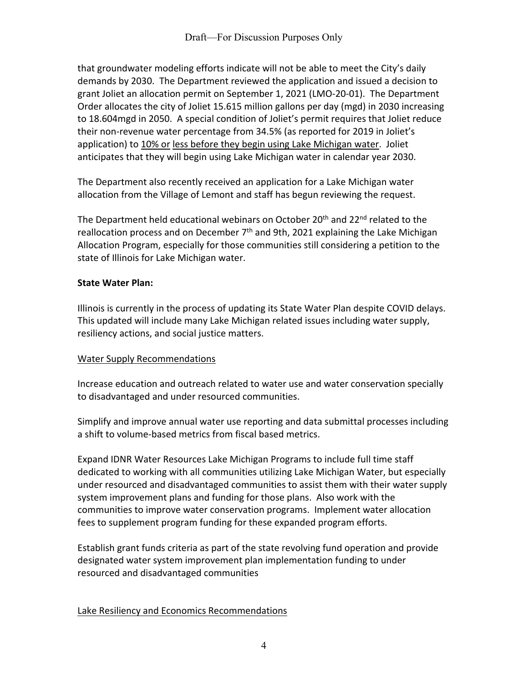that groundwater modeling efforts indicate will not be able to meet the City's daily demands by 2030. The Department reviewed the application and issued a decision to grant Joliet an allocation permit on September 1, 2021 (LMO-20-01). The Department Order allocates the city of Joliet 15.615 million gallons per day (mgd) in 2030 increasing to 18.604mgd in 2050. A special condition of Joliet's permit requires that Joliet reduce their non-revenue water percentage from 34.5% (as reported for 2019 in Joliet's application) to 10% or less before they begin using Lake Michigan water. Joliet anticipates that they will begin using Lake Michigan water in calendar year 2030.

The Department also recently received an application for a Lake Michigan water allocation from the Village of Lemont and staff has begun reviewing the request.

The Department held educational webinars on October 20<sup>th</sup> and 22<sup>nd</sup> related to the reallocation process and on December  $7<sup>th</sup>$  and 9th, 2021 explaining the Lake Michigan Allocation Program, especially for those communities still considering a petition to the state of Illinois for Lake Michigan water.

## **State Water Plan:**

Illinois is currently in the process of updating its State Water Plan despite COVID delays. This updated will include many Lake Michigan related issues including water supply, resiliency actions, and social justice matters.

# Water Supply Recommendations

Increase education and outreach related to water use and water conservation specially to disadvantaged and under resourced communities.

Simplify and improve annual water use reporting and data submittal processes including a shift to volume-based metrics from fiscal based metrics.

Expand IDNR Water Resources Lake Michigan Programs to include full time staff dedicated to working with all communities utilizing Lake Michigan Water, but especially under resourced and disadvantaged communities to assist them with their water supply system improvement plans and funding for those plans. Also work with the communities to improve water conservation programs. Implement water allocation fees to supplement program funding for these expanded program efforts.

Establish grant funds criteria as part of the state revolving fund operation and provide designated water system improvement plan implementation funding to under resourced and disadvantaged communities

# Lake Resiliency and Economics Recommendations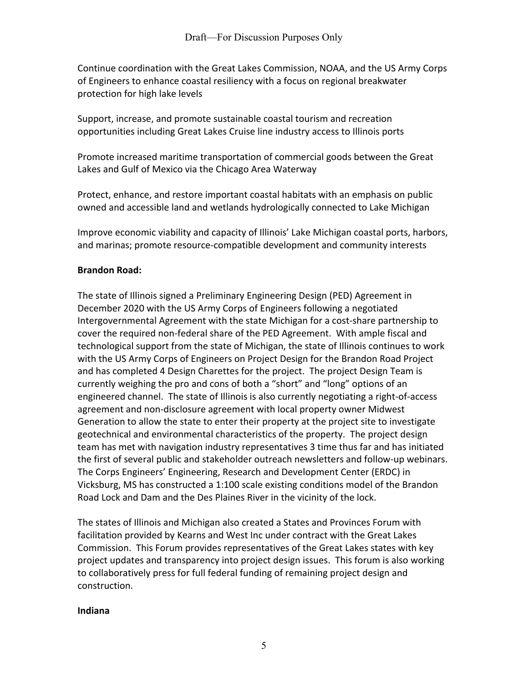Continue coordination with the Great Lakes Commission, NOAA, and the US Army Corps of Engineers to enhance coastal resiliency with a focus on regional breakwater protection for high lake levels

Support, increase, and promote sustainable coastal tourism and recreation opportunities including Great Lakes Cruise line industry access to Illinois ports

Promote increased maritime transportation of commercial goods between the Great Lakes and Gulf of Mexico via the Chicago Area Waterway

Protect, enhance, and restore important coastal habitats with an emphasis on public owned and accessible land and wetlands hydrologically connected to Lake Michigan

Improve economic viability and capacity of Illinois' Lake Michigan coastal ports, harbors, and marinas; promote resource-compatible development and community interests

### **Brandon Road:**

The state of Illinois signed a Preliminary Engineering Design (PED) Agreement in December 2020 with the US Army Corps of Engineers following a negotiated Intergovernmental Agreement with the state Michigan for a cost-share partnership to cover the required non-federal share of the PED Agreement. With ample fiscal and technological support from the state of Michigan, the state of Illinois continues to work with the US Army Corps of Engineers on Project Design for the Brandon Road Project and has completed 4 Design Charettes for the project. The project Design Team is currently weighing the pro and cons of both a "short" and "long" options of an engineered channel. The state of Illinois is also currently negotiating a right-of-access agreement and non-disclosure agreement with local property owner Midwest Generation to allow the state to enter their property at the project site to investigate geotechnical and environmental characteristics of the property. The project design team has met with navigation industry representatives 3 time thus far and has initiated the first of several public and stakeholder outreach newsletters and follow-up webinars. The Corps Engineers' Engineering, Research and Development Center (ERDC) in Vicksburg, MS has constructed a 1:100 scale existing conditions model of the Brandon Road Lock and Dam and the Des Plaines River in the vicinity of the lock.

The states of Illinois and Michigan also created a States and Provinces Forum with facilitation provided by Kearns and West Inc under contract with the Great Lakes Commission. This Forum provides representatives of the Great Lakes states with key project updates and transparency into project design issues. This forum is also working to collaboratively press for full federal funding of remaining project design and construction.

### **Indiana**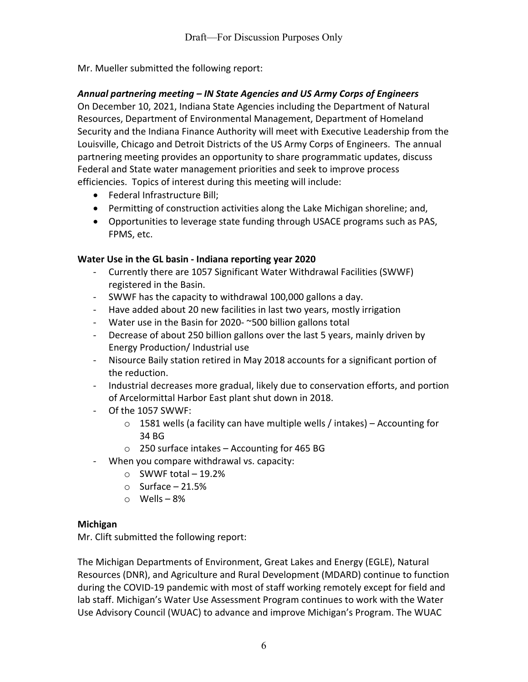Mr. Mueller submitted the following report:

## *Annual partnering meeting – IN State Agencies and US Army Corps of Engineers*

On December 10, 2021, Indiana State Agencies including the Department of Natural Resources, Department of Environmental Management, Department of Homeland Security and the Indiana Finance Authority will meet with Executive Leadership from the Louisville, Chicago and Detroit Districts of the US Army Corps of Engineers. The annual partnering meeting provides an opportunity to share programmatic updates, discuss Federal and State water management priorities and seek to improve process efficiencies. Topics of interest during this meeting will include:

- Federal Infrastructure Bill;
- Permitting of construction activities along the Lake Michigan shoreline; and,
- Opportunities to leverage state funding through USACE programs such as PAS, FPMS, etc.

### **Water Use in the GL basin - Indiana reporting year 2020**

- Currently there are 1057 Significant Water Withdrawal Facilities (SWWF) registered in the Basin.
- SWWF has the capacity to withdrawal 100,000 gallons a day.
- Have added about 20 new facilities in last two years, mostly irrigation
- Water use in the Basin for 2020- ~500 billion gallons total
- Decrease of about 250 billion gallons over the last 5 years, mainly driven by Energy Production/ Industrial use
- Nisource Baily station retired in May 2018 accounts for a significant portion of the reduction.
- Industrial decreases more gradual, likely due to conservation efforts, and portion of Arcelormittal Harbor East plant shut down in 2018.
- Of the 1057 SWWF:
	- $\circ$  1581 wells (a facility can have multiple wells / intakes) Accounting for 34 BG
	- o 250 surface intakes Accounting for 465 BG
- When you compare withdrawal vs. capacity:
	- $\circ$  SWWF total 19.2%
	- $\circ$  Surface 21.5%
	- $\circ$  Wells 8%

### **Michigan**

Mr. Clift submitted the following report:

The Michigan Departments of Environment, Great Lakes and Energy (EGLE), Natural Resources (DNR), and Agriculture and Rural Development (MDARD) continue to function during the COVID-19 pandemic with most of staff working remotely except for field and lab staff. Michigan's Water Use Assessment Program continues to work with the Water Use Advisory Council (WUAC) to advance and improve Michigan's Program. The WUAC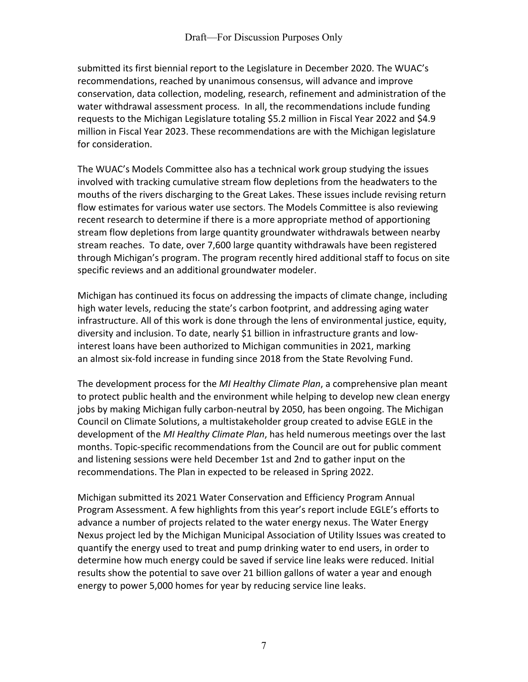submitted its first biennial report to the Legislature in December 2020. The WUAC's recommendations, reached by unanimous consensus, will advance and improve conservation, data collection, modeling, research, refinement and administration of the water withdrawal assessment process. In all, the recommendations include funding requests to the Michigan Legislature totaling \$5.2 million in Fiscal Year 2022 and \$4.9 million in Fiscal Year 2023. These recommendations are with the Michigan legislature for consideration.

The WUAC's Models Committee also has a technical work group studying the issues involved with tracking cumulative stream flow depletions from the headwaters to the mouths of the rivers discharging to the Great Lakes. These issues include revising return flow estimates for various water use sectors. The Models Committee is also reviewing recent research to determine if there is a more appropriate method of apportioning stream flow depletions from large quantity groundwater withdrawals between nearby stream reaches. To date, over 7,600 large quantity withdrawals have been registered through Michigan's program. The program recently hired additional staff to focus on site specific reviews and an additional groundwater modeler.

Michigan has continued its focus on addressing the impacts of climate change, including high water levels, reducing the state's carbon footprint, and addressing aging water infrastructure. All of this work is done through the lens of environmental justice, equity, diversity and inclusion. To date, nearly \$1 billion in infrastructure grants and lowinterest loans have been authorized to Michigan communities in 2021, marking an almost six-fold increase in funding since 2018 from the State Revolving Fund.

The development process for the *MI Healthy Climate Plan*, a comprehensive plan meant to protect public health and the environment while helping to develop new clean energy jobs by making Michigan fully carbon-neutral by 2050, has been ongoing. The Michigan Council on Climate Solutions, a multistakeholder group created to advise EGLE in the development of the *MI Healthy Climate Plan*, has held numerous meetings over the last months. Topic-specific recommendations from the Council are out for public comment and listening sessions were held December 1st and 2nd to gather input on the recommendations. The Plan in expected to be released in Spring 2022.

Michigan submitted its 2021 Water Conservation and Efficiency Program Annual Program Assessment. A few highlights from this year's report include EGLE's efforts to advance a number of projects related to the water energy nexus. The Water Energy Nexus project led by the Michigan Municipal Association of Utility Issues was created to quantify the energy used to treat and pump drinking water to end users, in order to determine how much energy could be saved if service line leaks were reduced. Initial results show the potential to save over 21 billion gallons of water a year and enough energy to power 5,000 homes for year by reducing service line leaks.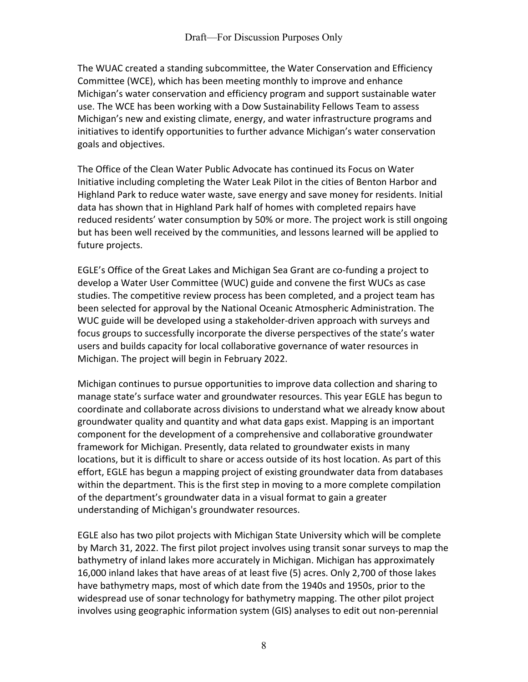The WUAC created a standing subcommittee, the Water Conservation and Efficiency Committee (WCE), which has been meeting monthly to improve and enhance Michigan's water conservation and efficiency program and support sustainable water use. The WCE has been working with a Dow Sustainability Fellows Team to assess Michigan's new and existing climate, energy, and water infrastructure programs and initiatives to identify opportunities to further advance Michigan's water conservation goals and objectives.

The Office of the Clean Water Public Advocate has continued its Focus on Water Initiative including completing the Water Leak Pilot in the cities of Benton Harbor and Highland Park to reduce water waste, save energy and save money for residents. Initial data has shown that in Highland Park half of homes with completed repairs have reduced residents' water consumption by 50% or more. The project work is still ongoing but has been well received by the communities, and lessons learned will be applied to future projects.

EGLE's Office of the Great Lakes and Michigan Sea Grant are co-funding a project to develop a Water User Committee (WUC) guide and convene the first WUCs as case studies. The competitive review process has been completed, and a project team has been selected for approval by the National Oceanic Atmospheric Administration. The WUC guide will be developed using a stakeholder-driven approach with surveys and focus groups to successfully incorporate the diverse perspectives of the state's water users and builds capacity for local collaborative governance of water resources in Michigan. The project will begin in February 2022.

Michigan continues to pursue opportunities to improve data collection and sharing to manage state's surface water and groundwater resources. This year EGLE has begun to coordinate and collaborate across divisions to understand what we already know about groundwater quality and quantity and what data gaps exist. Mapping is an important component for the development of a comprehensive and collaborative groundwater framework for Michigan. Presently, data related to groundwater exists in many locations, but it is difficult to share or access outside of its host location. As part of this effort, EGLE has begun a mapping project of existing groundwater data from databases within the department. This is the first step in moving to a more complete compilation of the department's groundwater data in a visual format to gain a greater understanding of Michigan's groundwater resources.

EGLE also has two pilot projects with Michigan State University which will be complete by March 31, 2022. The first pilot project involves using transit sonar surveys to map the bathymetry of inland lakes more accurately in Michigan. Michigan has approximately 16,000 inland lakes that have areas of at least five (5) acres. Only 2,700 of those lakes have bathymetry maps, most of which date from the 1940s and 1950s, prior to the widespread use of sonar technology for bathymetry mapping. The other pilot project involves using geographic information system (GIS) analyses to edit out non-perennial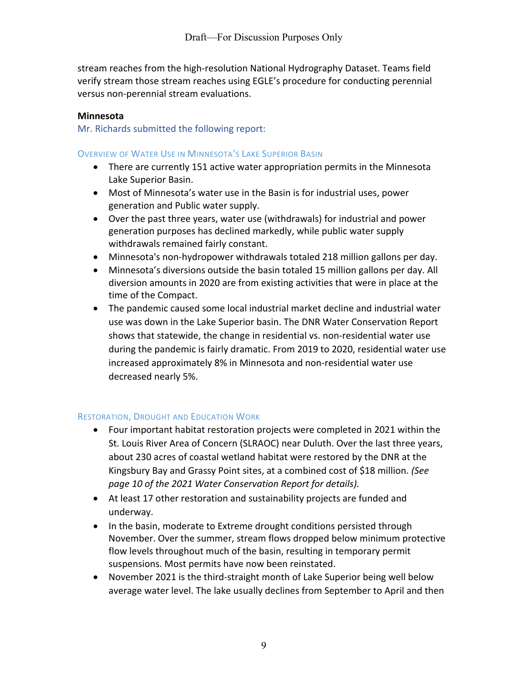stream reaches from the high-resolution National Hydrography Dataset. Teams field verify stream those stream reaches using EGLE's procedure for conducting perennial versus non-perennial stream evaluations.

#### **Minnesota**

Mr. Richards submitted the following report:

OVERVIEW OF WATER USE IN MINNESOTA'S LAKE SUPERIOR BASIN

- There are currently 151 active water appropriation permits in the Minnesota Lake Superior Basin.
- Most of Minnesota's water use in the Basin is for industrial uses, power generation and Public water supply.
- Over the past three years, water use (withdrawals) for industrial and power generation purposes has declined markedly, while public water supply withdrawals remained fairly constant.
- Minnesota's non-hydropower withdrawals totaled 218 million gallons per day.
- Minnesota's diversions outside the basin totaled 15 million gallons per day. All diversion amounts in 2020 are from existing activities that were in place at the time of the Compact.
- The pandemic caused some local industrial market decline and industrial water use was down in the Lake Superior basin. The DNR Water Conservation Report shows that statewide, the change in residential vs. non-residential water use during the pandemic is fairly dramatic. From 2019 to 2020, residential water use increased approximately 8% in Minnesota and non-residential water use decreased nearly 5%.

#### RESTORATION, DROUGHT AND EDUCATION WORK

- Four important habitat restoration projects were completed in 2021 within the St. Louis River Area of Concern (SLRAOC) near Duluth. Over the last three years, about 230 acres of coastal wetland habitat were restored by the DNR at the Kingsbury Bay and Grassy Point sites, at a combined cost of \$18 million. *(See page 10 of the 2021 Water Conservation Report for details).*
- At least 17 other restoration and sustainability projects are funded and underway.
- In the basin, moderate to Extreme drought conditions persisted through November. Over the summer, stream flows dropped below minimum protective flow levels throughout much of the basin, resulting in temporary permit suspensions. Most permits have now been reinstated.
- November 2021 is the third-straight month of Lake Superior being well below average water level. The lake usually declines from September to April and then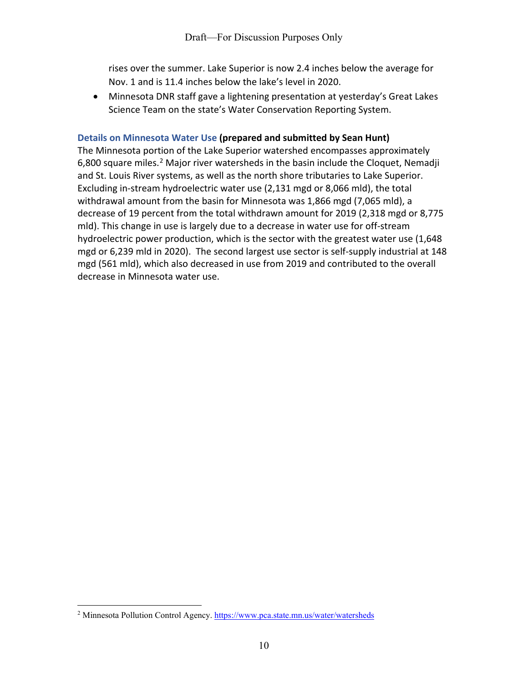rises over the summer. Lake Superior is now 2.4 inches below the average for Nov. 1 and is 11.4 inches below the lake's level in 2020.

• Minnesota DNR staff gave a lightening presentation at yesterday's Great Lakes Science Team on the state's Water Conservation Reporting System.

#### **Details on Minnesota Water Use (prepared and submitted by Sean Hunt)**

The Minnesota portion of the Lake Superior watershed encompasses approximately 6,800 square miles.<sup>[2](#page-9-0)</sup> Major river watersheds in the basin include the Cloquet, Nemadji and St. Louis River systems, as well as the north shore tributaries to Lake Superior. Excluding in-stream hydroelectric water use (2,131 mgd or 8,066 mld), the total withdrawal amount from the basin for Minnesota was 1,866 mgd (7,065 mld), a decrease of 19 percent from the total withdrawn amount for 2019 (2,318 mgd or 8,775 mld). This change in use is largely due to a decrease in water use for off-stream hydroelectric power production, which is the sector with the greatest water use (1,648 mgd or 6,239 mld in 2020). The second largest use sector is self-supply industrial at 148 mgd (561 mld), which also decreased in use from 2019 and contributed to the overall decrease in Minnesota water use.

<span id="page-9-0"></span><sup>&</sup>lt;sup>2</sup> Minnesota Pollution Control Agency.<https://www.pca.state.mn.us/water/watersheds>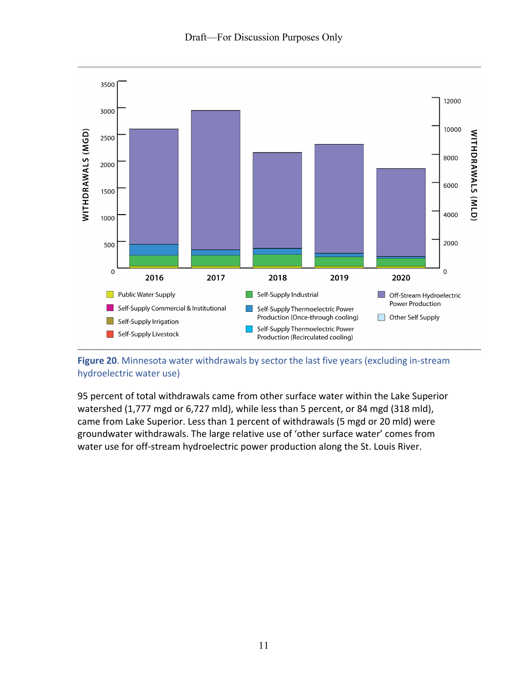

**Figure 20**. Minnesota water withdrawals by sector the last five years (excluding in-stream hydroelectric water use)

95 percent of total withdrawals came from other surface water within the Lake Superior watershed (1,777 mgd or 6,727 mld), while less than 5 percent, or 84 mgd (318 mld), came from Lake Superior. Less than 1 percent of withdrawals (5 mgd or 20 mld) were groundwater withdrawals. The large relative use of 'other surface water' comes from water use for off-stream hydroelectric power production along the St. Louis River.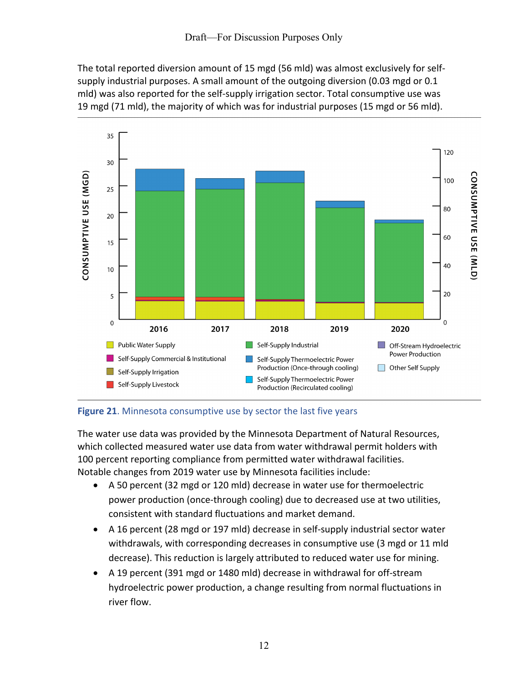The total reported diversion amount of 15 mgd (56 mld) was almost exclusively for selfsupply industrial purposes. A small amount of the outgoing diversion (0.03 mgd or 0.1 mld) was also reported for the self-supply irrigation sector. Total consumptive use was 19 mgd (71 mld), the majority of which was for industrial purposes (15 mgd or 56 mld).



#### **Figure 21**. Minnesota consumptive use by sector the last five years

The water use data was provided by the Minnesota Department of Natural Resources, which collected measured water use data from water withdrawal permit holders with 100 percent reporting compliance from permitted water withdrawal facilities. Notable changes from 2019 water use by Minnesota facilities include:

- A 50 percent (32 mgd or 120 mld) decrease in water use for thermoelectric power production (once-through cooling) due to decreased use at two utilities, consistent with standard fluctuations and market demand.
- A 16 percent (28 mgd or 197 mld) decrease in self-supply industrial sector water withdrawals, with corresponding decreases in consumptive use (3 mgd or 11 mld decrease). This reduction is largely attributed to reduced water use for mining.
- A 19 percent (391 mgd or 1480 mld) decrease in withdrawal for off-stream hydroelectric power production, a change resulting from normal fluctuations in river flow.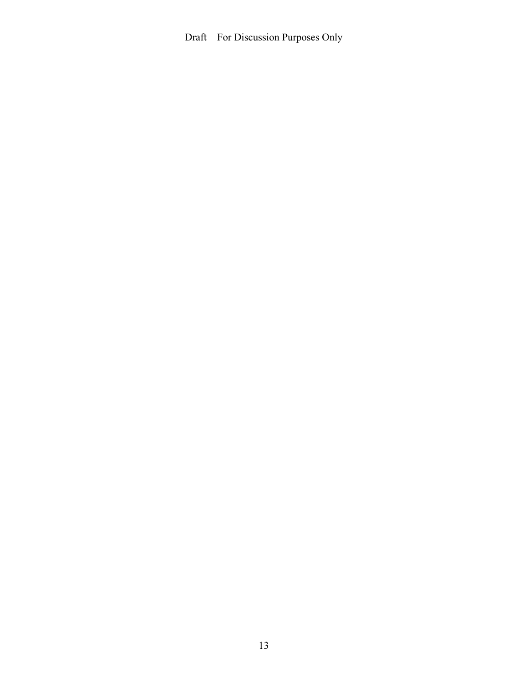Draft—For Discussion Purposes Only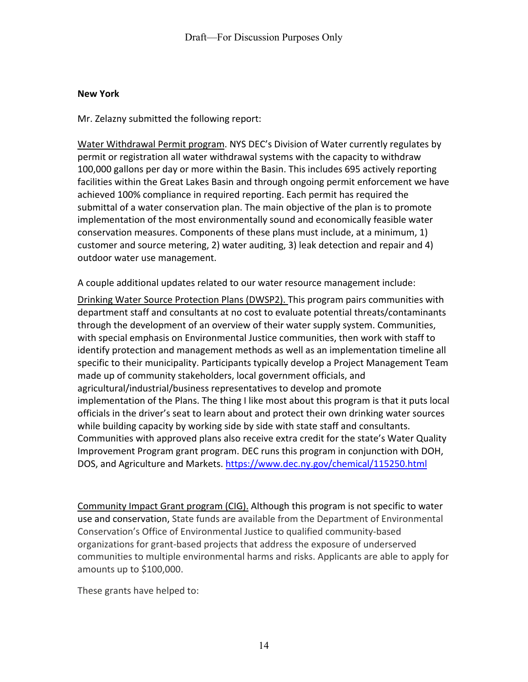#### **New York**

Mr. Zelazny submitted the following report:

Water Withdrawal Permit program. NYS DEC's Division of Water currently regulates by permit or registration all water withdrawal systems with the capacity to withdraw 100,000 gallons per day or more within the Basin. This includes 695 actively reporting facilities within the Great Lakes Basin and through ongoing permit enforcement we have achieved 100% compliance in required reporting. Each permit has required the submittal of a water conservation plan. The main objective of the plan is to promote implementation of the most environmentally sound and economically feasible water conservation measures. Components of these plans must include, at a minimum, 1) customer and source metering, 2) water auditing, 3) leak detection and repair and 4) outdoor water use management.

A couple additional updates related to our water resource management include:

Drinking Water Source Protection Plans (DWSP2). This program pairs communities with department staff and consultants at no cost to evaluate potential threats/contaminants through the development of an overview of their water supply system. Communities, with special emphasis on Environmental Justice communities, then work with staff to identify protection and management methods as well as an implementation timeline all specific to their municipality. Participants typically develop a Project Management Team made up of community stakeholders, local government officials, and agricultural/industrial/business representatives to develop and promote implementation of the Plans. The thing I like most about this program is that it puts local officials in the driver's seat to learn about and protect their own drinking water sources while building capacity by working side by side with state staff and consultants. Communities with approved plans also receive extra credit for the state's Water Quality Improvement Program grant program. DEC runs this program in conjunction with DOH, DOS, and Agriculture and Markets.<https://www.dec.ny.gov/chemical/115250.html>

Community Impact Grant program (CIG). Although this program is not specific to water use and conservation, State funds are available from the Department of Environmental Conservation's Office of Environmental Justice to qualified community-based organizations for grant-based projects that address the exposure of underserved communities to multiple environmental harms and risks. Applicants are able to apply for amounts up to \$100,000.

These grants have helped to: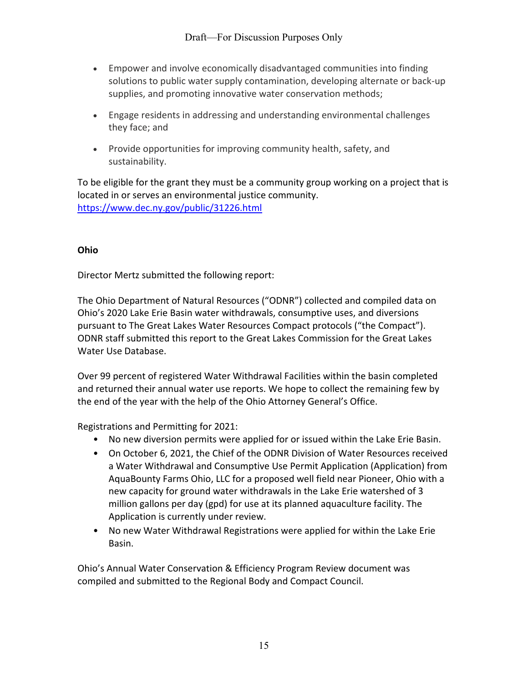- Empower and involve economically disadvantaged communities into finding solutions to public water supply contamination, developing alternate or back-up supplies, and promoting innovative water conservation methods;
- Engage residents in addressing and understanding environmental challenges they face; and
- Provide opportunities for improving community health, safety, and sustainability.

To be eligible for the grant they must be a community group working on a project that is located in or serves an environmental justice community. <https://www.dec.ny.gov/public/31226.html>

### **Ohio**

Director Mertz submitted the following report:

The Ohio Department of Natural Resources ("ODNR") collected and compiled data on Ohio's 2020 Lake Erie Basin water withdrawals, consumptive uses, and diversions pursuant to The Great Lakes Water Resources Compact protocols ("the Compact"). ODNR staff submitted this report to the Great Lakes Commission for the Great Lakes Water Use Database.

Over 99 percent of registered Water Withdrawal Facilities within the basin completed and returned their annual water use reports. We hope to collect the remaining few by the end of the year with the help of the Ohio Attorney General's Office.

Registrations and Permitting for 2021:

- No new diversion permits were applied for or issued within the Lake Erie Basin.
- On October 6, 2021, the Chief of the ODNR Division of Water Resources received a Water Withdrawal and Consumptive Use Permit Application (Application) from AquaBounty Farms Ohio, LLC for a proposed well field near Pioneer, Ohio with a new capacity for ground water withdrawals in the Lake Erie watershed of 3 million gallons per day (gpd) for use at its planned aquaculture facility. The Application is currently under review.
- No new Water Withdrawal Registrations were applied for within the Lake Erie Basin.

Ohio's Annual Water Conservation & Efficiency Program Review document was compiled and submitted to the Regional Body and Compact Council.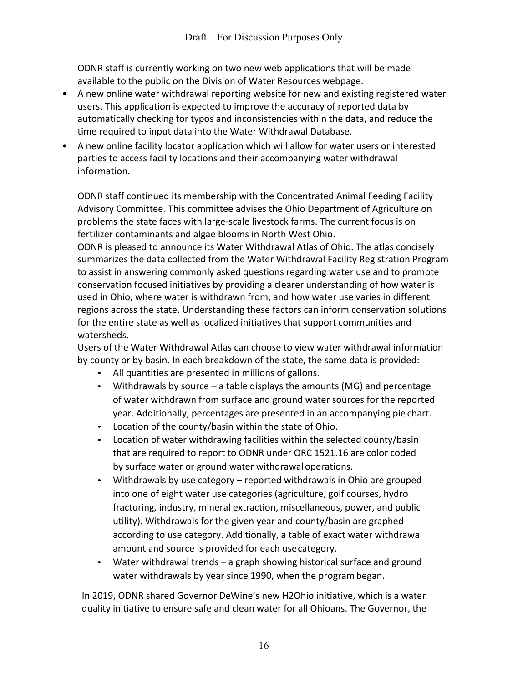ODNR staff is currently working on two new web applications that will be made available to the public on the Division of Water Resources webpage.

- A new online water withdrawal reporting website for new and existing registered water users. This application is expected to improve the accuracy of reported data by automatically checking for typos and inconsistencies within the data, and reduce the time required to input data into the Water Withdrawal Database.
- A new online facility locator application which will allow for water users or interested parties to access facility locations and their accompanying water withdrawal information.

ODNR staff continued its membership with the Concentrated Animal Feeding Facility Advisory Committee. This committee advises the Ohio Department of Agriculture on problems the state faces with large-scale livestock farms. The current focus is on fertilizer contaminants and algae blooms in North West Ohio.

ODNR is pleased to announce its Water Withdrawal Atlas of Ohio. The atlas concisely summarizes the data collected from the Water Withdrawal Facility Registration Program to assist in answering commonly asked questions regarding water use and to promote conservation focused initiatives by providing a clearer understanding of how water is used in Ohio, where water is withdrawn from, and how water use varies in different regions across the state. Understanding these factors can inform conservation solutions for the entire state as well as localized initiatives that support communities and watersheds.

Users of the Water Withdrawal Atlas can choose to view water withdrawal information by county or by basin. In each breakdown of the state, the same data is provided:

- All quantities are presented in millions of gallons.
- Withdrawals by source a table displays the amounts (MG) and percentage of water withdrawn from surface and ground water sources for the reported year. Additionally, percentages are presented in an accompanying pie chart.
- Location of the county/basin within the state of Ohio.
- Location of water withdrawing facilities within the selected county/basin that are required to report to ODNR under ORC 1521.16 are color coded by surface water or ground water withdrawal operations.
- Withdrawals by use category reported withdrawals in Ohio are grouped into one of eight water use categories (agriculture, golf courses, hydro fracturing, industry, mineral extraction, miscellaneous, power, and public utility). Withdrawals for the given year and county/basin are graphed according to use category. Additionally, a table of exact water withdrawal amount and source is provided for each usecategory.
- Water withdrawal trends a graph showing historical surface and ground water withdrawals by year since 1990, when the program began.

In 2019, ODNR shared Governor DeWine's new H2Ohio initiative, which is a water quality initiative to ensure safe and clean water for all Ohioans. The Governor, the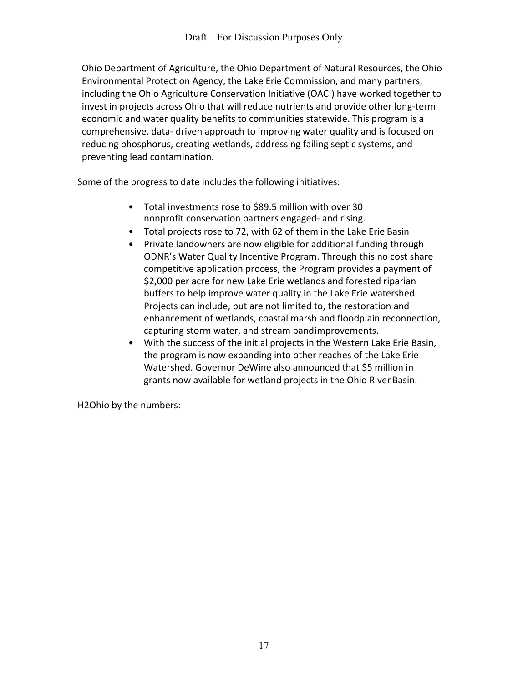Ohio Department of Agriculture, the Ohio Department of Natural Resources, the Ohio Environmental Protection Agency, the Lake Erie Commission, and many partners, including the Ohio Agriculture Conservation Initiative (OACI) have worked together to invest in projects across Ohio that will reduce nutrients and provide other long-term economic and water quality benefits to communities statewide. This program is a comprehensive, data- driven approach to improving water quality and is focused on reducing phosphorus, creating wetlands, addressing failing septic systems, and preventing lead contamination.

Some of the progress to date includes the following initiatives:

- Total investments rose to \$89.5 million with over 30 nonprofit conservation partners engaged- and rising.
- Total projects rose to 72, with 62 of them in the Lake Erie Basin
- Private landowners are now eligible for additional funding through ODNR's Water Quality Incentive Program. Through this no cost share competitive application process, the Program provides a payment of \$2,000 per acre for new Lake Erie wetlands and forested riparian buffers to help improve water quality in the Lake Erie watershed. Projects can include, but are not limited to, the restoration and enhancement of wetlands, coastal marsh and floodplain reconnection, capturing storm water, and stream bandimprovements.
- With the success of the initial projects in the Western Lake Erie Basin, the program is now expanding into other reaches of the Lake Erie Watershed. Governor DeWine also announced that \$5 million in grants now available for wetland projects in the Ohio River Basin.

H2Ohio by the numbers: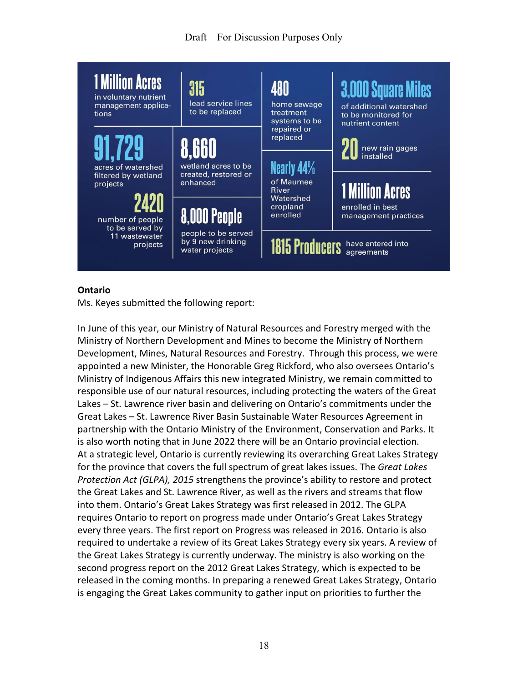## Draft—For Discussion Purposes Only



#### **Ontario**

Ms. Keyes submitted the following report:

In June of this year, our Ministry of Natural Resources and Forestry merged with the Ministry of Northern Development and Mines to become the Ministry of Northern Development, Mines, Natural Resources and Forestry. Through this process, we were appointed a new Minister, the Honorable Greg Rickford, who also oversees Ontario's Ministry of Indigenous Affairs this new integrated Ministry, we remain committed to responsible use of our natural resources, including protecting the waters of the Great Lakes – St. Lawrence river basin and delivering on Ontario's commitments under the Great Lakes – St. Lawrence River Basin Sustainable Water Resources Agreement in partnership with the Ontario Ministry of the Environment, Conservation and Parks. It is also worth noting that in June 2022 there will be an Ontario provincial election. At a strategic level, Ontario is currently reviewing its overarching Great Lakes Strategy for the province that covers the full spectrum of great lakes issues. The *Great Lakes Protection Act (GLPA), 2015* strengthens the province's ability to restore and protect the Great Lakes and St. Lawrence River, as well as the rivers and streams that flow into them. Ontario's Great Lakes Strategy was first released in 2012. The GLPA requires Ontario to report on progress made under Ontario's Great Lakes Strategy every three years. The first report on Progress was released in 2016. Ontario is also required to undertake a review of its Great Lakes Strategy every six years. A review of the Great Lakes Strategy is currently underway. The ministry is also working on the second progress report on the 2012 Great Lakes Strategy, which is expected to be released in the coming months. In preparing a renewed Great Lakes Strategy, Ontario is engaging the Great Lakes community to gather input on priorities to further the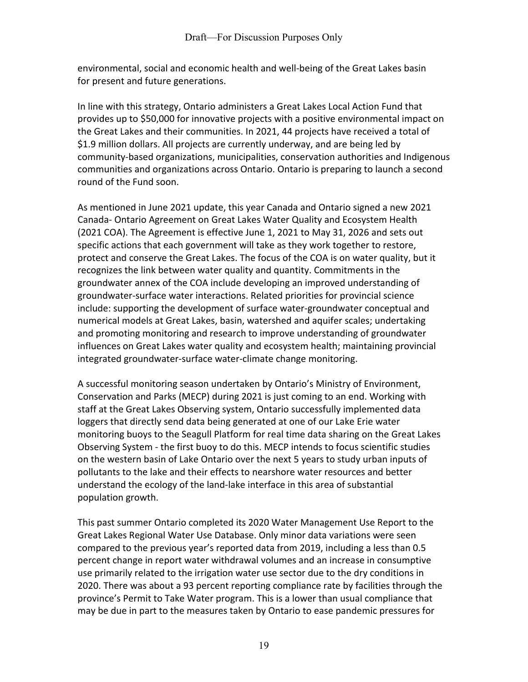environmental, social and economic health and well-being of the Great Lakes basin for present and future generations.

In line with this strategy, Ontario administers a Great Lakes Local Action Fund that provides up to \$50,000 for innovative projects with a positive environmental impact on the Great Lakes and their communities. In 2021, 44 projects have received a total of \$1.9 million dollars. All projects are currently underway, and are being led by community-based organizations, municipalities, conservation authorities and Indigenous communities and organizations across Ontario. Ontario is preparing to launch a second round of the Fund soon.

As mentioned in June 2021 update, this year Canada and Ontario signed a new 2021 Canada- Ontario Agreement on Great Lakes Water Quality and Ecosystem Health (2021 COA). The Agreement is effective June 1, 2021 to May 31, 2026 and sets out specific actions that each government will take as they work together to restore, protect and conserve the Great Lakes. The focus of the COA is on water quality, but it recognizes the link between water quality and quantity. Commitments in the groundwater annex of the COA include developing an improved understanding of groundwater-surface water interactions. Related priorities for provincial science include: supporting the development of surface water-groundwater conceptual and numerical models at Great Lakes, basin, watershed and aquifer scales; undertaking and promoting monitoring and research to improve understanding of groundwater influences on Great Lakes water quality and ecosystem health; maintaining provincial integrated groundwater-surface water-climate change monitoring.

A successful monitoring season undertaken by Ontario's Ministry of Environment, Conservation and Parks (MECP) during 2021 is just coming to an end. Working with staff at the Great Lakes Observing system, Ontario successfully implemented data loggers that directly send data being generated at one of our Lake Erie water monitoring buoys to the Seagull Platform for real time data sharing on the Great Lakes Observing System - the first buoy to do this. MECP intends to focus scientific studies on the western basin of Lake Ontario over the next 5 years to study urban inputs of pollutants to the lake and their effects to nearshore water resources and better understand the ecology of the land-lake interface in this area of substantial population growth.

This past summer Ontario completed its 2020 Water Management Use Report to the Great Lakes Regional Water Use Database. Only minor data variations were seen compared to the previous year's reported data from 2019, including a less than 0.5 percent change in report water withdrawal volumes and an increase in consumptive use primarily related to the irrigation water use sector due to the dry conditions in 2020. There was about a 93 percent reporting compliance rate by facilities through the province's Permit to Take Water program. This is a lower than usual compliance that may be due in part to the measures taken by Ontario to ease pandemic pressures for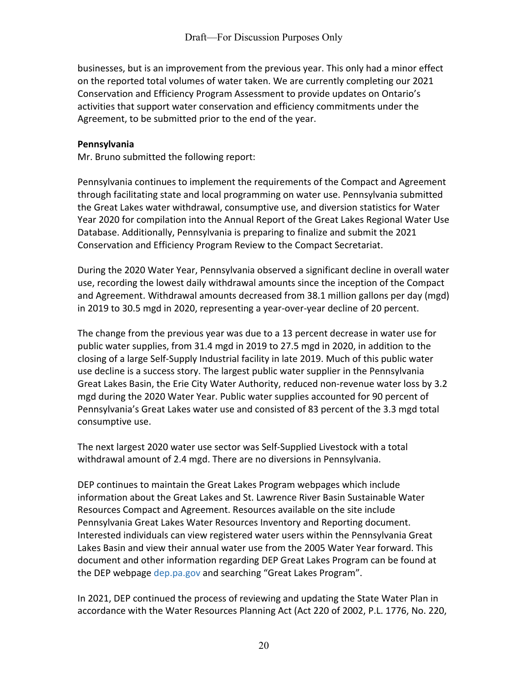businesses, but is an improvement from the previous year. This only had a minor effect on the reported total volumes of water taken. We are currently completing our 2021 Conservation and Efficiency Program Assessment to provide updates on Ontario's activities that support water conservation and efficiency commitments under the Agreement, to be submitted prior to the end of the year.

#### **Pennsylvania**

Mr. Bruno submitted the following report:

Pennsylvania continues to implement the requirements of the Compact and Agreement through facilitating state and local programming on water use. Pennsylvania submitted the Great Lakes water withdrawal, consumptive use, and diversion statistics for Water Year 2020 for compilation into the Annual Report of the Great Lakes Regional Water Use Database. Additionally, Pennsylvania is preparing to finalize and submit the 2021 Conservation and Efficiency Program Review to the Compact Secretariat.

During the 2020 Water Year, Pennsylvania observed a significant decline in overall water use, recording the lowest daily withdrawal amounts since the inception of the Compact and Agreement. Withdrawal amounts decreased from 38.1 million gallons per day (mgd) in 2019 to 30.5 mgd in 2020, representing a year-over-year decline of 20 percent.

The change from the previous year was due to a 13 percent decrease in water use for public water supplies, from 31.4 mgd in 2019 to 27.5 mgd in 2020, in addition to the closing of a large Self-Supply Industrial facility in late 2019. Much of this public water use decline is a success story. The largest public water supplier in the Pennsylvania Great Lakes Basin, the Erie City Water Authority, reduced non-revenue water loss by 3.2 mgd during the 2020 Water Year. Public water supplies accounted for 90 percent of Pennsylvania's Great Lakes water use and consisted of 83 percent of the 3.3 mgd total consumptive use.

The next largest 2020 water use sector was Self-Supplied Livestock with a total withdrawal amount of 2.4 mgd. There are no diversions in Pennsylvania.

DEP continues to maintain the Great Lakes Program webpages which include information about the Great Lakes and St. Lawrence River Basin Sustainable Water Resources Compact and Agreement. Resources available on the site include Pennsylvania Great Lakes Water Resources Inventory and Reporting document. Interested individuals can view registered water users within the Pennsylvania Great Lakes Basin and view their annual water use from the 2005 Water Year forward. This document and other information regarding DEP Great Lakes Program can be found at the DEP webpage dep.pa.gov and searching "Great Lakes Program".

In 2021, DEP continued the process of reviewing and updating the State Water Plan in accordance with the Water Resources Planning Act (Act 220 of 2002, P.L. 1776, No. 220,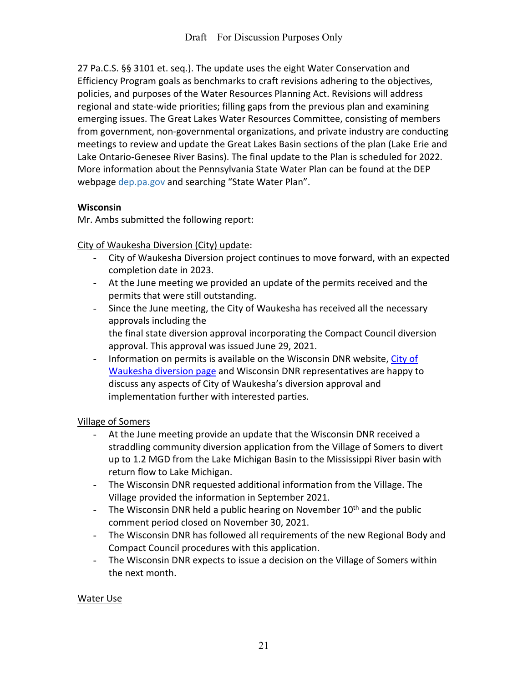27 Pa.C.S. §§ 3101 et. seq.). The update uses the eight Water Conservation and Efficiency Program goals as benchmarks to craft revisions adhering to the objectives, policies, and purposes of the Water Resources Planning Act. Revisions will address regional and state-wide priorities; filling gaps from the previous plan and examining emerging issues. The Great Lakes Water Resources Committee, consisting of members from government, non-governmental organizations, and private industry are conducting meetings to review and update the Great Lakes Basin sections of the plan (Lake Erie and Lake Ontario-Genesee River Basins). The final update to the Plan is scheduled for 2022. More information about the Pennsylvania State Water Plan can be found at the DEP webpage dep.pa.gov and searching "State Water Plan".

## **Wisconsin**

Mr. Ambs submitted the following report:

City of Waukesha Diversion (City) update:

- City of Waukesha Diversion project continues to move forward, with an expected completion date in 2023.
- At the June meeting we provided an update of the permits received and the permits that were still outstanding.
- Since the June meeting, the City of Waukesha has received all the necessary approvals including the

the final state diversion approval incorporating the Compact Council diversion approval. This approval was issued June 29, 2021.

- Information on permits is available on the Wisconsin DNR website, City of [Waukesha diversion page](https://dnr.wi.gov/topic/EIA/waukeshadiversionapp.html) and Wisconsin DNR representatives are happy to discuss any aspects of City of Waukesha's diversion approval and implementation further with interested parties.

### Village of Somers

- At the June meeting provide an update that the Wisconsin DNR received a straddling community diversion application from the Village of Somers to divert up to 1.2 MGD from the Lake Michigan Basin to the Mississippi River basin with return flow to Lake Michigan.
- The Wisconsin DNR requested additional information from the Village. The Village provided the information in September 2021.
- The Wisconsin DNR held a public hearing on November  $10<sup>th</sup>$  and the public comment period closed on November 30, 2021.
- The Wisconsin DNR has followed all requirements of the new Regional Body and Compact Council procedures with this application.
- The Wisconsin DNR expects to issue a decision on the Village of Somers within the next month.

### Water Use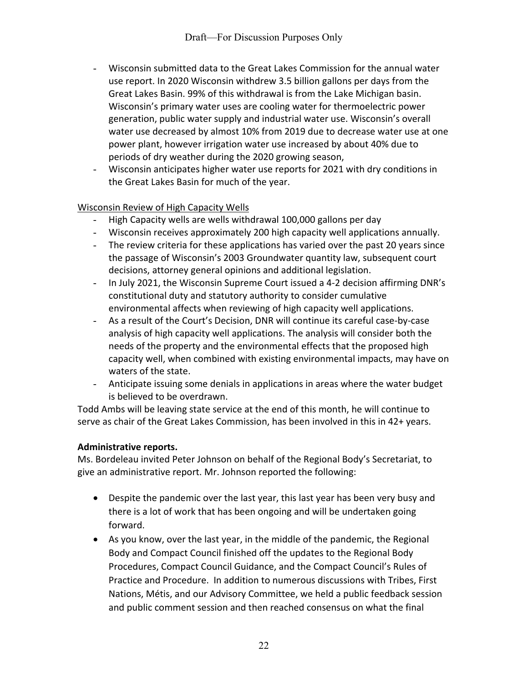- Wisconsin submitted data to the Great Lakes Commission for the annual water use report. In 2020 Wisconsin withdrew 3.5 billion gallons per days from the Great Lakes Basin. 99% of this withdrawal is from the Lake Michigan basin. Wisconsin's primary water uses are cooling water for thermoelectric power generation, public water supply and industrial water use. Wisconsin's overall water use decreased by almost 10% from 2019 due to decrease water use at one power plant, however irrigation water use increased by about 40% due to periods of dry weather during the 2020 growing season,
- Wisconsin anticipates higher water use reports for 2021 with dry conditions in the Great Lakes Basin for much of the year.

## Wisconsin Review of High Capacity Wells

- High Capacity wells are wells withdrawal 100,000 gallons per day
- Wisconsin receives approximately 200 high capacity well applications annually.
- The review criteria for these applications has varied over the past 20 years since the passage of Wisconsin's 2003 Groundwater quantity law, subsequent court decisions, attorney general opinions and additional legislation.
- In July 2021, the Wisconsin Supreme Court issued a 4-2 decision affirming DNR's constitutional duty and statutory authority to consider cumulative environmental affects when reviewing of high capacity well applications.
- As a result of the Court's Decision, DNR will continue its careful case-by-case analysis of high capacity well applications. The analysis will consider both the needs of the property and the environmental effects that the proposed high capacity well, when combined with existing environmental impacts, may have on waters of the state.
- Anticipate issuing some denials in applications in areas where the water budget is believed to be overdrawn.

Todd Ambs will be leaving state service at the end of this month, he will continue to serve as chair of the Great Lakes Commission, has been involved in this in 42+ years.

### **Administrative reports.**

Ms. Bordeleau invited Peter Johnson on behalf of the Regional Body's Secretariat, to give an administrative report. Mr. Johnson reported the following:

- Despite the pandemic over the last year, this last year has been very busy and there is a lot of work that has been ongoing and will be undertaken going forward.
- As you know, over the last year, in the middle of the pandemic, the Regional Body and Compact Council finished off the updates to the Regional Body Procedures, Compact Council Guidance, and the Compact Council's Rules of Practice and Procedure. In addition to numerous discussions with Tribes, First Nations, Métis, and our Advisory Committee, we held a public feedback session and public comment session and then reached consensus on what the final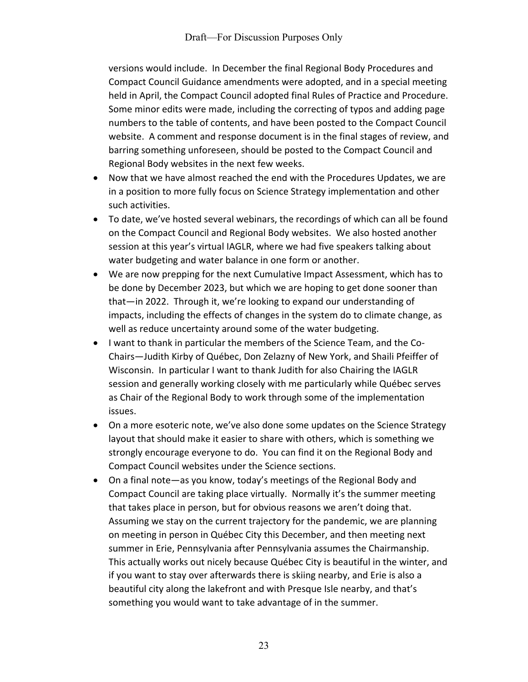versions would include. In December the final Regional Body Procedures and Compact Council Guidance amendments were adopted, and in a special meeting held in April, the Compact Council adopted final Rules of Practice and Procedure. Some minor edits were made, including the correcting of typos and adding page numbers to the table of contents, and have been posted to the Compact Council website. A comment and response document is in the final stages of review, and barring something unforeseen, should be posted to the Compact Council and Regional Body websites in the next few weeks.

- Now that we have almost reached the end with the Procedures Updates, we are in a position to more fully focus on Science Strategy implementation and other such activities.
- To date, we've hosted several webinars, the recordings of which can all be found on the Compact Council and Regional Body websites. We also hosted another session at this year's virtual IAGLR, where we had five speakers talking about water budgeting and water balance in one form or another.
- We are now prepping for the next Cumulative Impact Assessment, which has to be done by December 2023, but which we are hoping to get done sooner than that—in 2022. Through it, we're looking to expand our understanding of impacts, including the effects of changes in the system do to climate change, as well as reduce uncertainty around some of the water budgeting.
- I want to thank in particular the members of the Science Team, and the Co-Chairs—Judith Kirby of Québec, Don Zelazny of New York, and Shaili Pfeiffer of Wisconsin. In particular I want to thank Judith for also Chairing the IAGLR session and generally working closely with me particularly while Québec serves as Chair of the Regional Body to work through some of the implementation issues.
- On a more esoteric note, we've also done some updates on the Science Strategy layout that should make it easier to share with others, which is something we strongly encourage everyone to do. You can find it on the Regional Body and Compact Council websites under the Science sections.
- On a final note—as you know, today's meetings of the Regional Body and Compact Council are taking place virtually. Normally it's the summer meeting that takes place in person, but for obvious reasons we aren't doing that. Assuming we stay on the current trajectory for the pandemic, we are planning on meeting in person in Québec City this December, and then meeting next summer in Erie, Pennsylvania after Pennsylvania assumes the Chairmanship. This actually works out nicely because Québec City is beautiful in the winter, and if you want to stay over afterwards there is skiing nearby, and Erie is also a beautiful city along the lakefront and with Presque Isle nearby, and that's something you would want to take advantage of in the summer.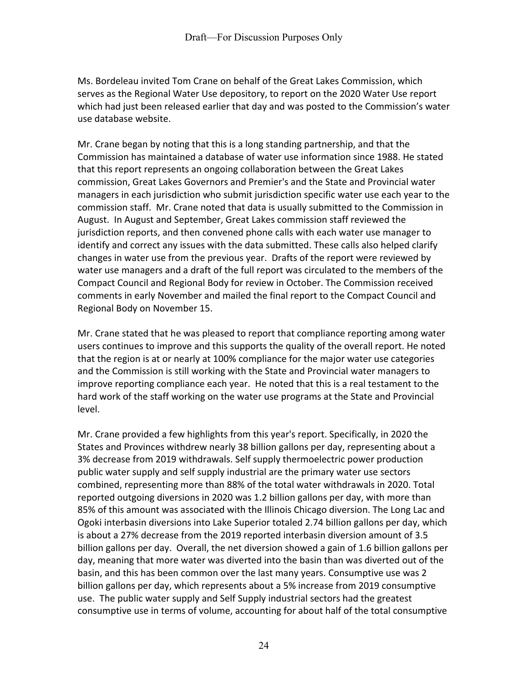Ms. Bordeleau invited Tom Crane on behalf of the Great Lakes Commission, which serves as the Regional Water Use depository, to report on the 2020 Water Use report which had just been released earlier that day and was posted to the Commission's water use database website.

Mr. Crane began by noting that this is a long standing partnership, and that the Commission has maintained a database of water use information since 1988. He stated that this report represents an ongoing collaboration between the Great Lakes commission, Great Lakes Governors and Premier's and the State and Provincial water managers in each jurisdiction who submit jurisdiction specific water use each year to the commission staff. Mr. Crane noted that data is usually submitted to the Commission in August. In August and September, Great Lakes commission staff reviewed the jurisdiction reports, and then convened phone calls with each water use manager to identify and correct any issues with the data submitted. These calls also helped clarify changes in water use from the previous year. Drafts of the report were reviewed by water use managers and a draft of the full report was circulated to the members of the Compact Council and Regional Body for review in October. The Commission received comments in early November and mailed the final report to the Compact Council and Regional Body on November 15.

Mr. Crane stated that he was pleased to report that compliance reporting among water users continues to improve and this supports the quality of the overall report. He noted that the region is at or nearly at 100% compliance for the major water use categories and the Commission is still working with the State and Provincial water managers to improve reporting compliance each year. He noted that this is a real testament to the hard work of the staff working on the water use programs at the State and Provincial level.

Mr. Crane provided a few highlights from this year's report. Specifically, in 2020 the States and Provinces withdrew nearly 38 billion gallons per day, representing about a 3% decrease from 2019 withdrawals. Self supply thermoelectric power production public water supply and self supply industrial are the primary water use sectors combined, representing more than 88% of the total water withdrawals in 2020. Total reported outgoing diversions in 2020 was 1.2 billion gallons per day, with more than 85% of this amount was associated with the Illinois Chicago diversion. The Long Lac and Ogoki interbasin diversions into Lake Superior totaled 2.74 billion gallons per day, which is about a 27% decrease from the 2019 reported interbasin diversion amount of 3.5 billion gallons per day. Overall, the net diversion showed a gain of 1.6 billion gallons per day, meaning that more water was diverted into the basin than was diverted out of the basin, and this has been common over the last many years. Consumptive use was 2 billion gallons per day, which represents about a 5% increase from 2019 consumptive use. The public water supply and Self Supply industrial sectors had the greatest consumptive use in terms of volume, accounting for about half of the total consumptive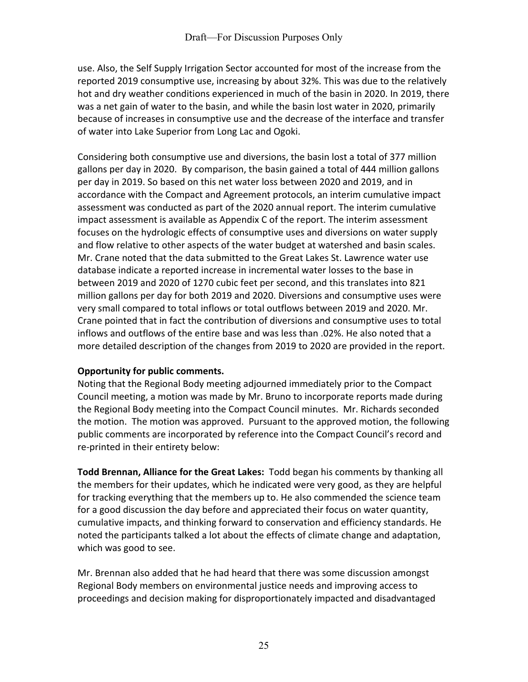use. Also, the Self Supply Irrigation Sector accounted for most of the increase from the reported 2019 consumptive use, increasing by about 32%. This was due to the relatively hot and dry weather conditions experienced in much of the basin in 2020. In 2019, there was a net gain of water to the basin, and while the basin lost water in 2020, primarily because of increases in consumptive use and the decrease of the interface and transfer of water into Lake Superior from Long Lac and Ogoki.

Considering both consumptive use and diversions, the basin lost a total of 377 million gallons per day in 2020. By comparison, the basin gained a total of 444 million gallons per day in 2019. So based on this net water loss between 2020 and 2019, and in accordance with the Compact and Agreement protocols, an interim cumulative impact assessment was conducted as part of the 2020 annual report. The interim cumulative impact assessment is available as Appendix C of the report. The interim assessment focuses on the hydrologic effects of consumptive uses and diversions on water supply and flow relative to other aspects of the water budget at watershed and basin scales. Mr. Crane noted that the data submitted to the Great Lakes St. Lawrence water use database indicate a reported increase in incremental water losses to the base in between 2019 and 2020 of 1270 cubic feet per second, and this translates into 821 million gallons per day for both 2019 and 2020. Diversions and consumptive uses were very small compared to total inflows or total outflows between 2019 and 2020. Mr. Crane pointed that in fact the contribution of diversions and consumptive uses to total inflows and outflows of the entire base and was less than .02%. He also noted that a more detailed description of the changes from 2019 to 2020 are provided in the report.

## **Opportunity for public comments.**

Noting that the Regional Body meeting adjourned immediately prior to the Compact Council meeting, a motion was made by Mr. Bruno to incorporate reports made during the Regional Body meeting into the Compact Council minutes. Mr. Richards seconded the motion. The motion was approved. Pursuant to the approved motion, the following public comments are incorporated by reference into the Compact Council's record and re-printed in their entirety below:

**Todd Brennan, Alliance for the Great Lakes:** Todd began his comments by thanking all the members for their updates, which he indicated were very good, as they are helpful for tracking everything that the members up to. He also commended the science team for a good discussion the day before and appreciated their focus on water quantity, cumulative impacts, and thinking forward to conservation and efficiency standards. He noted the participants talked a lot about the effects of climate change and adaptation, which was good to see.

Mr. Brennan also added that he had heard that there was some discussion amongst Regional Body members on environmental justice needs and improving access to proceedings and decision making for disproportionately impacted and disadvantaged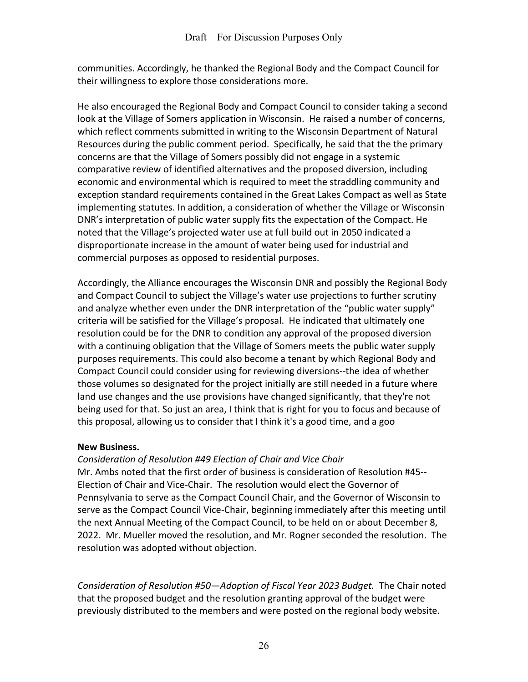communities. Accordingly, he thanked the Regional Body and the Compact Council for their willingness to explore those considerations more.

He also encouraged the Regional Body and Compact Council to consider taking a second look at the Village of Somers application in Wisconsin. He raised a number of concerns, which reflect comments submitted in writing to the Wisconsin Department of Natural Resources during the public comment period. Specifically, he said that the the primary concerns are that the Village of Somers possibly did not engage in a systemic comparative review of identified alternatives and the proposed diversion, including economic and environmental which is required to meet the straddling community and exception standard requirements contained in the Great Lakes Compact as well as State implementing statutes. In addition, a consideration of whether the Village or Wisconsin DNR's interpretation of public water supply fits the expectation of the Compact. He noted that the Village's projected water use at full build out in 2050 indicated a disproportionate increase in the amount of water being used for industrial and commercial purposes as opposed to residential purposes.

Accordingly, the Alliance encourages the Wisconsin DNR and possibly the Regional Body and Compact Council to subject the Village's water use projections to further scrutiny and analyze whether even under the DNR interpretation of the "public water supply" criteria will be satisfied for the Village's proposal. He indicated that ultimately one resolution could be for the DNR to condition any approval of the proposed diversion with a continuing obligation that the Village of Somers meets the public water supply purposes requirements. This could also become a tenant by which Regional Body and Compact Council could consider using for reviewing diversions--the idea of whether those volumes so designated for the project initially are still needed in a future where land use changes and the use provisions have changed significantly, that they're not being used for that. So just an area, I think that is right for you to focus and because of this proposal, allowing us to consider that I think it's a good time, and a goo

### **New Business.**

## *Consideration of Resolution #49 Election of Chair and Vice Chair*

Mr. Ambs noted that the first order of business is consideration of Resolution #45-- Election of Chair and Vice-Chair. The resolution would elect the Governor of Pennsylvania to serve as the Compact Council Chair, and the Governor of Wisconsin to serve as the Compact Council Vice-Chair, beginning immediately after this meeting until the next Annual Meeting of the Compact Council, to be held on or about December 8, 2022. Mr. Mueller moved the resolution, and Mr. Rogner seconded the resolution. The resolution was adopted without objection.

*Consideration of Resolution #50—Adoption of Fiscal Year 2023 Budget.* The Chair noted that the proposed budget and the resolution granting approval of the budget were previously distributed to the members and were posted on the regional body website.